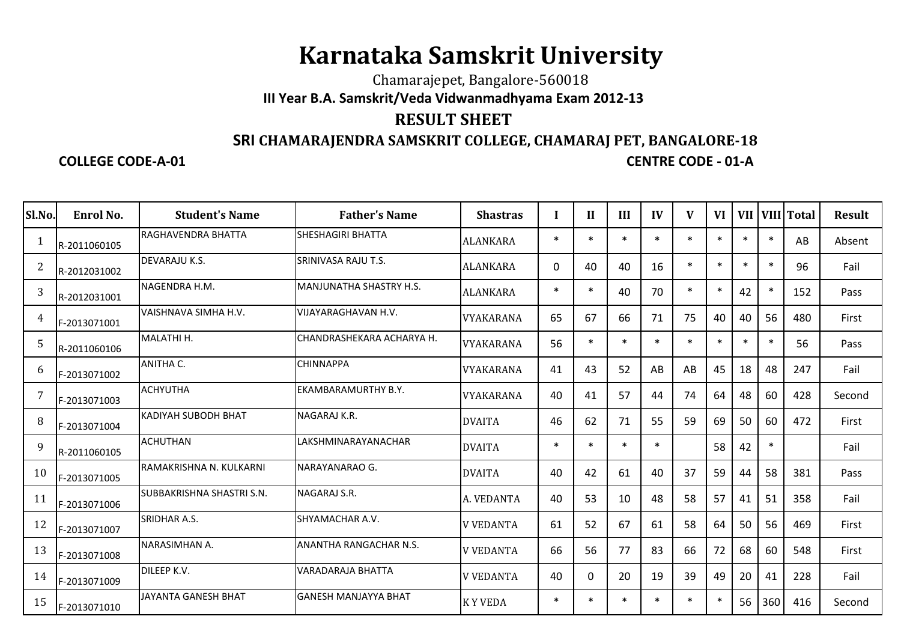## **Karnataka Samskrit University**

## Chamarajepet, Bangalore-560018**III Year B.A. Samskrit/Veda Vidwanmadhyama Exam 2012-13**

## **RESULT SHEET**

## **SRI CHAMARAJENDRA SAMSKRIT COLLEGE, CHAMARAJ PET, BANGALORE-18**

**COLLEGE CODE-A-01**

**CENTRE CODE - 01-A**

| Sl.No.         | Enrol No.    | <b>Student's Name</b>      | <b>Father's Name</b>           | <b>Shastras</b>  |          | H      | III    | IV     | V      | <b>VI</b> | <b>VII</b> |        | VIII Total | <b>Result</b> |
|----------------|--------------|----------------------------|--------------------------------|------------------|----------|--------|--------|--------|--------|-----------|------------|--------|------------|---------------|
| -1             | R-2011060105 | <b>RAGHAVENDRA BHATTA</b>  | ISHESHAGIRI BHATTA             | <b>ALANKARA</b>  | $\ast$   |        | $\ast$ | $\ast$ | $\ast$ |           | $\ast$     | $\ast$ | AB         | Absent        |
| $\overline{2}$ | R-2012031002 | DEVARAJU K.S.              | <b>SRINIVASA RAJU T.S.</b>     | <b>ALANKARA</b>  | $\Omega$ | 40     | 40     | 16     | $\ast$ | $\ast$    | $\ast$     | $\ast$ | 96         | Fail          |
| 3              | R-2012031001 | NAGENDRA H.M.              | <b>MANJUNATHA SHASTRY H.S.</b> | ALANKARA         | $\ast$   | $\ast$ | 40     | 70     | $\ast$ | $\ast$    | 42         | $\ast$ | 152        | Pass          |
| 4              | F-2013071001 | VAISHNAVA SIMHA H.V.       | <b>VIJAYARAGHAVAN H.V.</b>     | VYAKARANA        | 65       | 67     | 66     | 71     | 75     | 40        | 40         | 56     | 480        | First         |
| 5              | R-2011060106 | MALATHI H.                 | ICHANDRASHEKARA ACHARYA H.     | <b>VYAKARANA</b> | 56       | $\ast$ | $\ast$ | $\ast$ | $\ast$ | $\ast$    | $\ast$     | $\ast$ | 56         | Pass          |
| 6              | F-2013071002 | ANITHA C.                  | <b>CHINNAPPA</b>               | <b>VYAKARANA</b> | 41       | 43     | 52     | AB     | AB     | 45        | 18         | 48     | 247        | Fail          |
| 7              | F-2013071003 | <b>ACHYUTHA</b>            | <b>EKAMBARAMURTHY B.Y.</b>     | <b>VYAKARANA</b> | 40       | 41     | 57     | 44     | 74     | 64        | 48         | 60     | 428        | Second        |
| 8              | F-2013071004 | <b>KADIYAH SUBODH BHAT</b> | NAGARAJ K.R.                   | <b>DVAITA</b>    | 46       | 62     | 71     | 55     | 59     | 69        | 50         | 60     | 472        | First         |
| 9              | R-2011060105 | <b>ACHUTHAN</b>            | LAKSHMINARAYANACHAR            | <b>DVAITA</b>    | $\ast$   | $\ast$ | $\ast$ | $\ast$ |        | 58        | 42         | $\ast$ |            | Fail          |
| 10             | F-2013071005 | RAMAKRISHNA N. KULKARNI    | NARAYANARAO G.                 | <b>DVAITA</b>    | 40       | 42     | 61     | 40     | 37     | 59        | 44         | 58     | 381        | Pass          |
| 11             | F-2013071006 | SUBBAKRISHNA SHASTRI S.N.  | <b>NAGARAJ S.R.</b>            | A. VEDANTA       | 40       | 53     | 10     | 48     | 58     | 57        | 41         | 51     | 358        | Fail          |
| 12             | F-2013071007 | SRIDHAR A.S.               | SHYAMACHAR A.V.                | <b>V VEDANTA</b> | 61       | 52     | 67     | 61     | 58     | 64        | 50         | 56     | 469        | First         |
| 13             | F-2013071008 | NARASIMHAN A.              | <b>ANANTHA RANGACHAR N.S.</b>  | <b>V VEDANTA</b> | 66       | 56     | 77     | 83     | 66     | 72        | 68         | 60     | 548        | First         |
| 14             | F-2013071009 | DILEEP K.V.                | <b>VARADARAJA BHATTA</b>       | <b>V VEDANTA</b> | 40       | 0      | 20     | 19     | 39     | 49        | 20         | 41     | 228        | Fail          |
| 15             | F-2013071010 | JAYANTA GANESH BHAT        | <b>GANESH MANJAYYA BHAT</b>    | <b>KYVEDA</b>    | $\ast$   |        | $\ast$ | $\ast$ | $\ast$ |           | 56         | 360    | 416        | Second        |